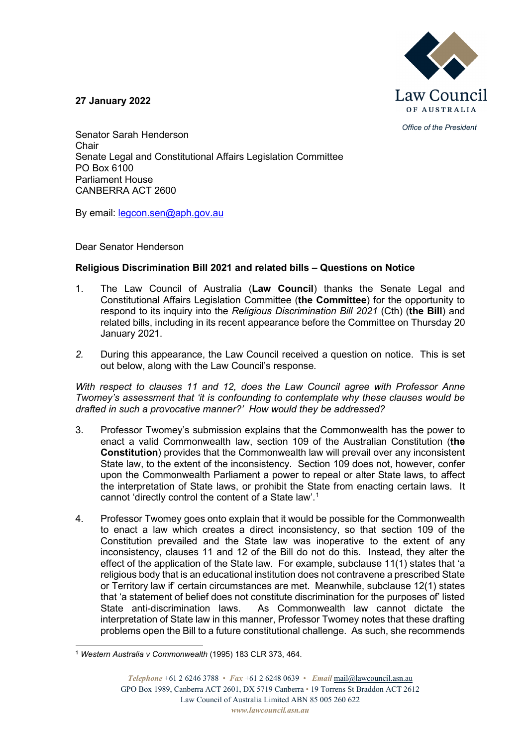

**27 January 2022**

*Office of the President*

Senator Sarah Henderson Chair Senate Legal and Constitutional Affairs Legislation Committee PO Box 6100 Parliament House CANBERRA ACT 2600

By email: [legcon.sen@aph.gov.au](mailto:legcon.sen@aph.gov.au)

Dear Senator Henderson

## **Religious Discrimination Bill 2021 and related bills – Questions on Notice**

- 1. The Law Council of Australia (**Law Council**) thanks the Senate Legal and Constitutional Affairs Legislation Committee (**the Committee**) for the opportunity to respond to its inquiry into the *Religious Discrimination Bill 2021* (Cth) (**the Bill**) and related bills, including in its recent appearance before the Committee on Thursday 20 January 2021.
- *2.* During this appearance, the Law Council received a question on notice. This is set out below, along with the Law Council's response.

*With respect to clauses 11 and 12, does the Law Council agree with Professor Anne Twomey's assessment that 'it is confounding to contemplate why these clauses would be drafted in such a provocative manner?' How would they be addressed?*

- 3. Professor Twomey's submission explains that the Commonwealth has the power to enact a valid Commonwealth law, section 109 of the Australian Constitution (**the Constitution**) provides that the Commonwealth law will prevail over any inconsistent State law, to the extent of the inconsistency. Section 109 does not, however, confer upon the Commonwealth Parliament a power to repeal or alter State laws, to affect the interpretation of State laws, or prohibit the State from enacting certain laws. It cannot 'directly control the content of a State law'.[1](#page-0-0)
- 4. Professor Twomey goes onto explain that it would be possible for the Commonwealth to enact a law which creates a direct inconsistency, so that section 109 of the Constitution prevailed and the State law was inoperative to the extent of any inconsistency, clauses 11 and 12 of the Bill do not do this. Instead, they alter the effect of the application of the State law. For example, subclause 11(1) states that 'a religious body that is an educational institution does not contravene a prescribed State or Territory law if' certain circumstances are met. Meanwhile, subclause 12(1) states that 'a statement of belief does not constitute discrimination for the purposes of' listed As Commonwealth law cannot dictate the interpretation of State law in this manner, Professor Twomey notes that these drafting problems open the Bill to a future constitutional challenge. As such, she recommends

<span id="page-0-0"></span><sup>1</sup> *Western Australia v Commonwealth* (1995) 183 CLR 373, 464.